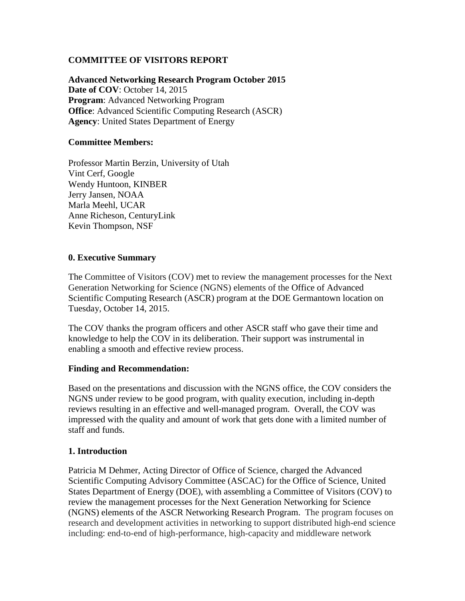# **COMMITTEE OF VISITORS REPORT**

**Advanced Networking Research Program October 2015 Date of COV**: October 14, 2015 **Program**: Advanced Networking Program **Office**: Advanced Scientific Computing Research (ASCR) **Agency**: United States Department of Energy

#### **Committee Members:**

Professor Martin Berzin, University of Utah Vint Cerf, Google Wendy Huntoon, KINBER Jerry Jansen, NOAA Marla Meehl, UCAR Anne Richeson, CenturyLink Kevin Thompson, NSF

#### **0. Executive Summary**

The Committee of Visitors (COV) met to review the management processes for the Next Generation Networking for Science (NGNS) elements of the Office of Advanced Scientific Computing Research (ASCR) program at the DOE Germantown location on Tuesday, October 14, 2015.

The COV thanks the program officers and other ASCR staff who gave their time and knowledge to help the COV in its deliberation. Their support was instrumental in enabling a smooth and effective review process.

#### **Finding and Recommendation:**

Based on the presentations and discussion with the NGNS office, the COV considers the NGNS under review to be good program, with quality execution, including in-depth reviews resulting in an effective and well-managed program. Overall, the COV was impressed with the quality and amount of work that gets done with a limited number of staff and funds.

### **1. Introduction**

Patricia M Dehmer, Acting Director of Office of Science, charged the Advanced Scientific Computing Advisory Committee (ASCAC) for the Office of Science, United States Department of Energy (DOE), with assembling a Committee of Visitors (COV) to review the management processes for the Next Generation Networking for Science (NGNS) elements of the ASCR Networking Research Program. The program focuses on research and development activities in networking to support distributed high-end science including: end-to-end of high-performance, high-capacity and middleware network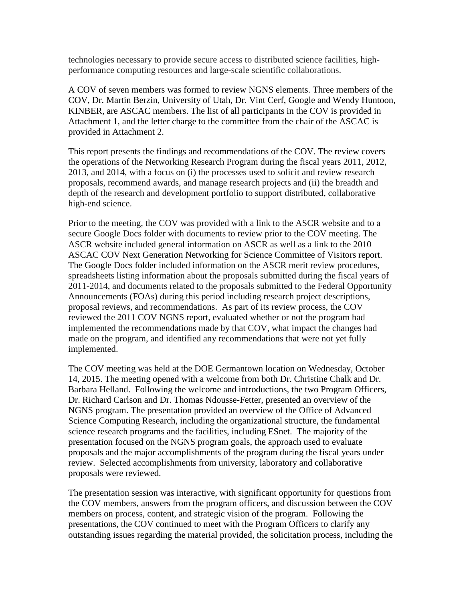technologies necessary to provide secure access to distributed science facilities, highperformance computing resources and large-scale scientific collaborations.

A COV of seven members was formed to review NGNS elements. Three members of the COV, Dr. Martin Berzin, University of Utah, Dr. Vint Cerf, Google and Wendy Huntoon, KINBER, are ASCAC members. The list of all participants in the COV is provided in Attachment 1, and the letter charge to the committee from the chair of the ASCAC is provided in Attachment 2.

This report presents the findings and recommendations of the COV. The review covers the operations of the Networking Research Program during the fiscal years 2011, 2012, 2013, and 2014, with a focus on (i) the processes used to solicit and review research proposals, recommend awards, and manage research projects and (ii) the breadth and depth of the research and development portfolio to support distributed, collaborative high-end science.

Prior to the meeting, the COV was provided with a link to the ASCR website and to a secure Google Docs folder with documents to review prior to the COV meeting. The ASCR website included general information on ASCR as well as a link to the 2010 ASCAC COV Next Generation Networking for Science Committee of Visitors report. The Google Docs folder included information on the ASCR merit review procedures, spreadsheets listing information about the proposals submitted during the fiscal years of 2011-2014, and documents related to the proposals submitted to the Federal Opportunity Announcements (FOAs) during this period including research project descriptions, proposal reviews, and recommendations. As part of its review process, the COV reviewed the 2011 COV NGNS report, evaluated whether or not the program had implemented the recommendations made by that COV, what impact the changes had made on the program, and identified any recommendations that were not yet fully implemented.

The COV meeting was held at the DOE Germantown location on Wednesday, October 14, 2015. The meeting opened with a welcome from both Dr. Christine Chalk and Dr. Barbara Helland. Following the welcome and introductions, the two Program Officers, Dr. Richard Carlson and Dr. Thomas Ndousse-Fetter, presented an overview of the NGNS program. The presentation provided an overview of the Office of Advanced Science Computing Research, including the organizational structure, the fundamental science research programs and the facilities, including ESnet. The majority of the presentation focused on the NGNS program goals, the approach used to evaluate proposals and the major accomplishments of the program during the fiscal years under review. Selected accomplishments from university, laboratory and collaborative proposals were reviewed.

The presentation session was interactive, with significant opportunity for questions from the COV members, answers from the program officers, and discussion between the COV members on process, content, and strategic vision of the program. Following the presentations, the COV continued to meet with the Program Officers to clarify any outstanding issues regarding the material provided, the solicitation process, including the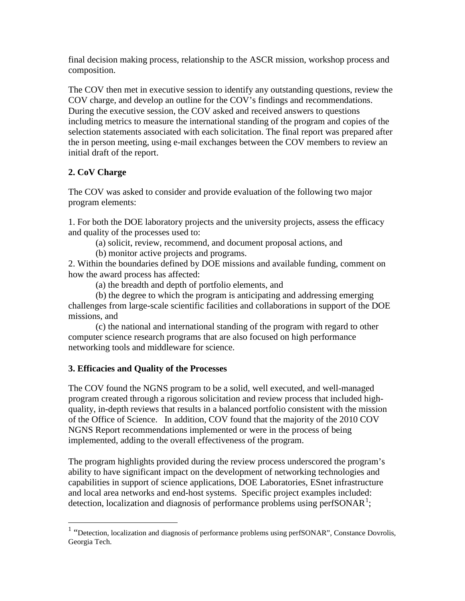final decision making process, relationship to the ASCR mission, workshop process and composition.

The COV then met in executive session to identify any outstanding questions, review the COV charge, and develop an outline for the COV's findings and recommendations. During the executive session, the COV asked and received answers to questions including metrics to measure the international standing of the program and copies of the selection statements associated with each solicitation. The final report was prepared after the in person meeting, using e-mail exchanges between the COV members to review an initial draft of the report.

# **2. CoV Charge**

The COV was asked to consider and provide evaluation of the following two major program elements:

1. For both the DOE laboratory projects and the university projects, assess the efficacy and quality of the processes used to:

- (a) solicit, review, recommend, and document proposal actions, and
- (b) monitor active projects and programs.

2. Within the boundaries defined by DOE missions and available funding, comment on how the award process has affected:

(a) the breadth and depth of portfolio elements, and

(b) the degree to which the program is anticipating and addressing emerging challenges from large-scale scientific facilities and collaborations in support of the DOE missions, and

(c) the national and international standing of the program with regard to other computer science research programs that are also focused on high performance networking tools and middleware for science.

### **3. Efficacies and Quality of the Processes**

The COV found the NGNS program to be a solid, well executed, and well-managed program created through a rigorous solicitation and review process that included highquality, in-depth reviews that results in a balanced portfolio consistent with the mission of the Office of Science. In addition, COV found that the majority of the 2010 COV NGNS Report recommendations implemented or were in the process of being implemented, adding to the overall effectiveness of the program.

The program highlights provided during the review process underscored the program's ability to have significant impact on the development of networking technologies and capabilities in support of science applications, DOE Laboratories, ESnet infrastructure and local area networks and end-host systems. Specific project examples included: detection, localization and diagnosis of performance problems using perfSONAR<sup>[1](#page-2-0)</sup>;

<span id="page-2-0"></span><sup>&</sup>lt;sup>1</sup> "Detection, localization and diagnosis of performance problems using perfSONAR", Constance Dovrolis, Georgia Tech.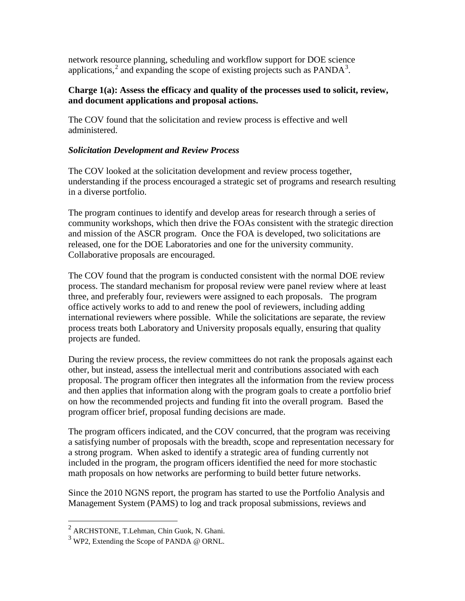network resource planning, scheduling and workflow support for DOE science applications,<sup>[2](#page-3-0)</sup> and expanding the scope of existing projects such as  $PANDA<sup>3</sup>$  $PANDA<sup>3</sup>$  $PANDA<sup>3</sup>$ .

#### **Charge 1(a): Assess the efficacy and quality of the processes used to solicit, review, and document applications and proposal actions.**

The COV found that the solicitation and review process is effective and well administered.

# *Solicitation Development and Review Process*

The COV looked at the solicitation development and review process together, understanding if the process encouraged a strategic set of programs and research resulting in a diverse portfolio.

The program continues to identify and develop areas for research through a series of community workshops, which then drive the FOAs consistent with the strategic direction and mission of the ASCR program. Once the FOA is developed, two solicitations are released, one for the DOE Laboratories and one for the university community. Collaborative proposals are encouraged.

The COV found that the program is conducted consistent with the normal DOE review process. The standard mechanism for proposal review were panel review where at least three, and preferably four, reviewers were assigned to each proposals. The program office actively works to add to and renew the pool of reviewers, including adding international reviewers where possible. While the solicitations are separate, the review process treats both Laboratory and University proposals equally, ensuring that quality projects are funded.

During the review process, the review committees do not rank the proposals against each other, but instead, assess the intellectual merit and contributions associated with each proposal. The program officer then integrates all the information from the review process and then applies that information along with the program goals to create a portfolio brief on how the recommended projects and funding fit into the overall program. Based the program officer brief, proposal funding decisions are made.

The program officers indicated, and the COV concurred, that the program was receiving a satisfying number of proposals with the breadth, scope and representation necessary for a strong program. When asked to identify a strategic area of funding currently not included in the program, the program officers identified the need for more stochastic math proposals on how networks are performing to build better future networks.

Since the 2010 NGNS report, the program has started to use the Portfolio Analysis and Management System (PAMS) to log and track proposal submissions, reviews and

<span id="page-3-0"></span> <sup>2</sup> ARCHSTONE, T.Lehman, Chin Guok, N. Ghani.

<span id="page-3-1"></span> $3$  WP2, Extending the Scope of PANDA @ ORNL.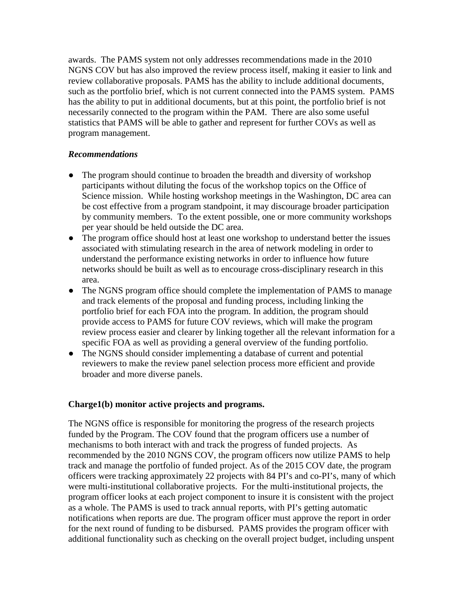awards. The PAMS system not only addresses recommendations made in the 2010 NGNS COV but has also improved the review process itself, making it easier to link and review collaborative proposals. PAMS has the ability to include additional documents, such as the portfolio brief, which is not current connected into the PAMS system. PAMS has the ability to put in additional documents, but at this point, the portfolio brief is not necessarily connected to the program within the PAM. There are also some useful statistics that PAMS will be able to gather and represent for further COVs as well as program management.

#### *Recommendations*

- The program should continue to broaden the breadth and diversity of workshop participants without diluting the focus of the workshop topics on the Office of Science mission. While hosting workshop meetings in the Washington, DC area can be cost effective from a program standpoint, it may discourage broader participation by community members. To the extent possible, one or more community workshops per year should be held outside the DC area.
- The program office should host at least one workshop to understand better the issues associated with stimulating research in the area of network modeling in order to understand the performance existing networks in order to influence how future networks should be built as well as to encourage cross-disciplinary research in this area.
- The NGNS program office should complete the implementation of PAMS to manage and track elements of the proposal and funding process, including linking the portfolio brief for each FOA into the program. In addition, the program should provide access to PAMS for future COV reviews, which will make the program review process easier and clearer by linking together all the relevant information for a specific FOA as well as providing a general overview of the funding portfolio.
- The NGNS should consider implementing a database of current and potential reviewers to make the review panel selection process more efficient and provide broader and more diverse panels.

### **Charge1(b) monitor active projects and programs.**

The NGNS office is responsible for monitoring the progress of the research projects funded by the Program. The COV found that the program officers use a number of mechanisms to both interact with and track the progress of funded projects. As recommended by the 2010 NGNS COV, the program officers now utilize PAMS to help track and manage the portfolio of funded project. As of the 2015 COV date, the program officers were tracking approximately 22 projects with 84 PI's and co-PI's, many of which were multi-institutional collaborative projects. For the multi-institutional projects, the program officer looks at each project component to insure it is consistent with the project as a whole. The PAMS is used to track annual reports, with PI's getting automatic notifications when reports are due. The program officer must approve the report in order for the next round of funding to be disbursed. PAMS provides the program officer with additional functionality such as checking on the overall project budget, including unspent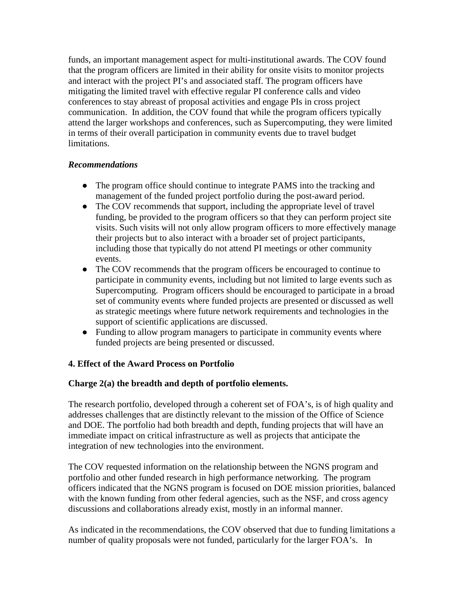funds, an important management aspect for multi-institutional awards. The COV found that the program officers are limited in their ability for onsite visits to monitor projects and interact with the project PI's and associated staff. The program officers have mitigating the limited travel with effective regular PI conference calls and video conferences to stay abreast of proposal activities and engage PIs in cross project communication. In addition, the COV found that while the program officers typically attend the larger workshops and conferences, such as Supercomputing, they were limited in terms of their overall participation in community events due to travel budget limitations.

### *Recommendations*

- The program office should continue to integrate PAMS into the tracking and management of the funded project portfolio during the post-award period.
- The COV recommends that support, including the appropriate level of travel funding, be provided to the program officers so that they can perform project site visits. Such visits will not only allow program officers to more effectively manage their projects but to also interact with a broader set of project participants, including those that typically do not attend PI meetings or other community events.
- The COV recommends that the program officers be encouraged to continue to participate in community events, including but not limited to large events such as Supercomputing. Program officers should be encouraged to participate in a broad set of community events where funded projects are presented or discussed as well as strategic meetings where future network requirements and technologies in the support of scientific applications are discussed.
- Funding to allow program managers to participate in community events where funded projects are being presented or discussed.

# **4. Effect of the Award Process on Portfolio**

### **Charge 2(a) the breadth and depth of portfolio elements.**

The research portfolio, developed through a coherent set of FOA's, is of high quality and addresses challenges that are distinctly relevant to the mission of the Office of Science and DOE. The portfolio had both breadth and depth, funding projects that will have an immediate impact on critical infrastructure as well as projects that anticipate the integration of new technologies into the environment.

The COV requested information on the relationship between the NGNS program and portfolio and other funded research in high performance networking. The program officers indicated that the NGNS program is focused on DOE mission priorities, balanced with the known funding from other federal agencies, such as the NSF, and cross agency discussions and collaborations already exist, mostly in an informal manner.

As indicated in the recommendations, the COV observed that due to funding limitations a number of quality proposals were not funded, particularly for the larger FOA's. In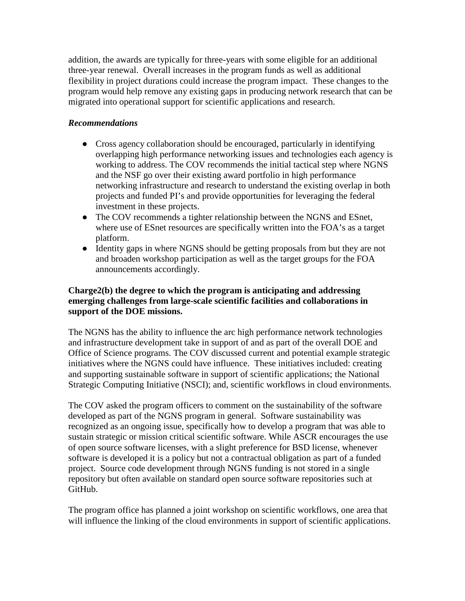addition, the awards are typically for three-years with some eligible for an additional three-year renewal. Overall increases in the program funds as well as additional flexibility in project durations could increase the program impact. These changes to the program would help remove any existing gaps in producing network research that can be migrated into operational support for scientific applications and research.

# *Recommendations*

- Cross agency collaboration should be encouraged, particularly in identifying overlapping high performance networking issues and technologies each agency is working to address. The COV recommends the initial tactical step where NGNS and the NSF go over their existing award portfolio in high performance networking infrastructure and research to understand the existing overlap in both projects and funded PI's and provide opportunities for leveraging the federal investment in these projects.
- The COV recommends a tighter relationship between the NGNS and ESnet, where use of ESnet resources are specifically written into the FOA's as a target platform.
- Identity gaps in where NGNS should be getting proposals from but they are not and broaden workshop participation as well as the target groups for the FOA announcements accordingly.

### **Charge2(b) the degree to which the program is anticipating and addressing emerging challenges from large-scale scientific facilities and collaborations in support of the DOE missions.**

The NGNS has the ability to influence the arc high performance network technologies and infrastructure development take in support of and as part of the overall DOE and Office of Science programs. The COV discussed current and potential example strategic initiatives where the NGNS could have influence. These initiatives included: creating and supporting sustainable software in support of scientific applications; the National Strategic Computing Initiative (NSCI); and, scientific workflows in cloud environments.

The COV asked the program officers to comment on the sustainability of the software developed as part of the NGNS program in general. Software sustainability was recognized as an ongoing issue, specifically how to develop a program that was able to sustain strategic or mission critical scientific software. While ASCR encourages the use of open source software licenses, with a slight preference for BSD license, whenever software is developed it is a policy but not a contractual obligation as part of a funded project. Source code development through NGNS funding is not stored in a single repository but often available on standard open source software repositories such at GitHub.

The program office has planned a joint workshop on scientific workflows, one area that will influence the linking of the cloud environments in support of scientific applications.